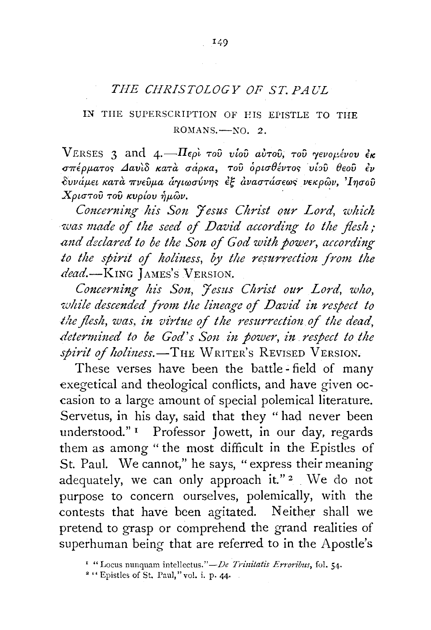## *THE CHRISTOLOGY OF ST. PAUL*

## IN TIIE SUPERSCRIPTION OF EIS EPISTLE TO THE  $ROMANS. - No. 2.$

VERSES 3 and 4. $-\Pi_{\epsilon\rho}$  Tou vlou avTou, Tou yevonévou ex σπέρματος Δαυίδ κατά σάρκα, του ορισθέντος υίου θεου έν δυνάμει κατά πνεύμα άγιωσύνης έξ αναστάσεως νεκρών, Ίησού  $X$ ριστού του κυρίου ήμων.

*Concerning his Son Jesus Christ our Lord, which was made of the seed of David according to the flesh; and dzclared to be the Son of God with power, according*  to the spirit of holiness, by the resurrection from the dead.-KING JAMES'S VERSION.

*Concerning his Son, Jesus Christ our Lord, who, while descended from the lineage of David in respect to*  the flesh, was, in virtue of the resurrection of the dead, *determined to be God's Son in power, in respect to the spirit of holiness.*-THE WRITER's REVISED VERSION.

These verses have been the battle - field of many exegetical and theological conflicts, and have given occasion to a large amount of special polemical literature. Servetus, in his day, said that they " had never been understood." 1 Professor Jowett, in our day, regards them as among "the most difficult in the Epistles of St. Paul. We cannot," he says, "express their meaning adequately, we can only approach it." $2 \cdot We$  do not purpose to concern ourselves, polemically, with the contests that have been agitated. Neither shall we pretend to grasp or comprehend the grand realities of superhuman being that are referred to in the Apostle's

<sup>&</sup>lt;sup>1</sup> "Locus nunquam intellectus." *- De Trinitatis Erroribus*, fol. 54.<br><sup>2</sup> "Epistles of St. Paul," vol. i. p. 44.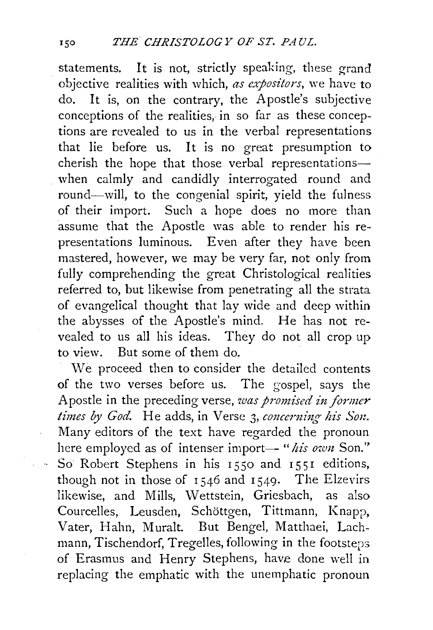statements. It is not, strictly speaking, these grand objective realities with which, *as expositors,* we have to do. It is, on the contrary, the Apostle's subjective conceptions of the realities, in so far as these conceptions are revealed to us in the verbal representations that lie before us. It is no great presumption to cherish the hope that those verbal representationswhen calmly and candidly interrogated round and round-will, to the congenial spirit, yield the fulness of their import. Such a hope does no more than assume that the Apostle was able to render his representations luminous. Even after they have been mastered, however, we may be very far, not only from fully comprehending the great Christological realities referred to, but likewise from penetrating all the strata of evangelical thought that lay wide and deep within the abysses of the Apostle's mind. He has not revealed to us all his ideas. They do not all crop up to view. But some of them do.

We proceed then to consider the detailed contents of the two verses before us. The gospel, says the Apostle in the preceding verse, *was promised in former times by God.* He adds, in Verse 3, *concerning his Son.*  Many editors of the text have regarded the pronoun here employed as of intenser import- "his own Son." - So Robert Stephens in his 1550 and 1551 editions, though not in those of  $1546$  and  $1549$ . The Elzevirs likewise, and Mills, Wettstein, Griesbach, as also Courcelles, Leusden, Schottgen, Tittmann, Knapp, Vater, Hahn, Muralt. But Bengel, Matthaei, Lachmann, Tischendorf, Tregelles, following in the footsteps of Erasmus and Henry Stephens, have done well in replacing the emphatic with the unemphatic pronoun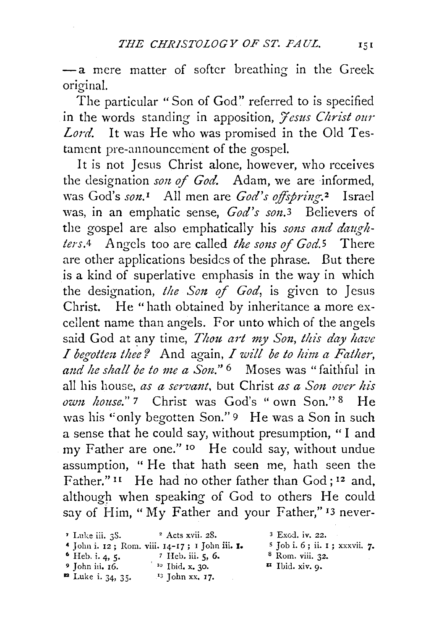-a mere matter of softer breathing in the Greek original.

The particular "Son of God" referred to is specified in the words standing in apposition, *Jesus Christ our Lord.* It was He who was promised in the Old Testament pre-announcement of the gospel.

It is not Jesus Christ alone, however, who receives the designation *son of God.* Adam, we are informed, Was God's *son.<sup>1</sup>* All men are *God's offspring*.<sup>2</sup> Israel was, in an emphatic sense, *God's son.3* Believers of the gospel are also emphatically his *sons and daughters.4* Angels too are called *the sons* of *God.5* There are other applications besides of the phrase. But there is a kind of superlative emphasis in the way in which the designation, *the Son of God,* is given to Jesus Christ. He "hath obtained by inheritance a more excellent name than angels. For unto which of the angels said God at any time, *Thou art my Son, this day have I* begotten thee? And again, *I will be to him a Father*, and he shall be to me a Son." <sup>6</sup> Moses was "faithful in all his house, *as a servant,* but Christ *as a Son over his own house."* 7 Christ was God's " own Son." 8 He was his "only begotten Son." 9 He was a Son in such a sense that he could say, without presumption, "I and my Father are one." <sup>10</sup> He could say, without undue assumption, " He that hath seen me, hath seen the Father."<sup>11</sup> He had no other father than God;<sup>12</sup> and, although when speaking of God to others He could say of Him, "My Father and your Father,"  $13$  never-

- $\cdot$  Luke iii. 3S.  $\cdot$  2 Acts xvii. 28.
- 4 John i. 12; Rom. viii. 14-17; 1 John iii. 1. 6 Heb. i. 4, 5. *7* Heh. iii. 5, 6.
- 
- $'$  <sup>10</sup> Ibid. x. 30.
- 
- 
- $\blacksquare$  Luke i. 34, 35.  $\blacksquare$  John xx. 17.
- <sup>3</sup> Exod. iv. 22.
- $5$  Job i. 6; ii. 1; xxxvii. 7.<br>8 Rom. viii. 32.
- 
- **Ibid. xiv. 9.**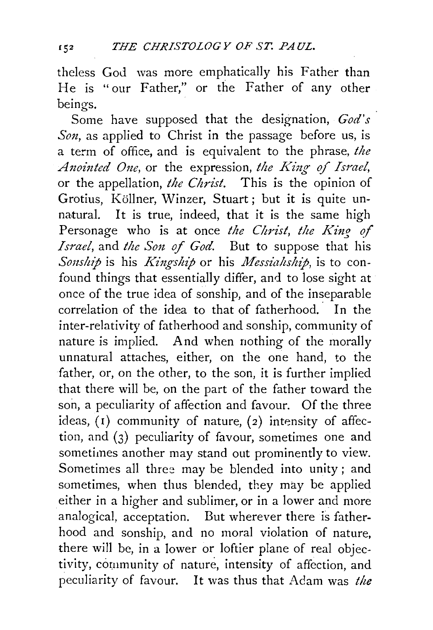theless God was more emphatically his Father than He is "our Father," or the Father of any other beings.

Some have supposed that the designation, *God's Son*, as applied to Christ in the passage before us, is a term of office, and is equivalent to the phrase, *the Anointed One*, or the expression, the King of Israel, or the appellation, *the Christ.* This is the opinion of Grotius, Köllner, Winzer, Stuart; but it is quite unnatural. It is true, indeed, that it is the same high Personage who is at once *the Christ, the King of Israel,* and *the Son of God.* But to suppose that his *Sonship* is his *Kingship* or his *Messiahship*, is to confound things that essentially differ, and to lose sight at once of the true idea of sonship, and of the inseparable correlation of the idea to that of fatherhood. In the inter-relativity of fatherhood and sonship, community of nature is implied. And when nothing of the morally unnatural attaches, either, on the one hand, to the father, or, on the other, to the son, it is further implied that there will be, on the part of the father toward the son, a peculiarity of affection and favour. Of the three ideas,  $(1)$  community of nature,  $(2)$  intensity of affection, and (3) peculiarity of favour, sometimes one and sometimes another may stand out prominently to view. Sometimes all three may be blended into unity ; and sometimes, when thus blended, they may be applied either in a higher and sublimer, or in a lower and more analogical, acceptation. But wherever there is fatherhood and sonship, and no moral violation of nature, there will be, in a lower or loftier plane of real objectivity, community of nature, intensity of affection, and peculiarity of favour. It was thus that Adam was *the*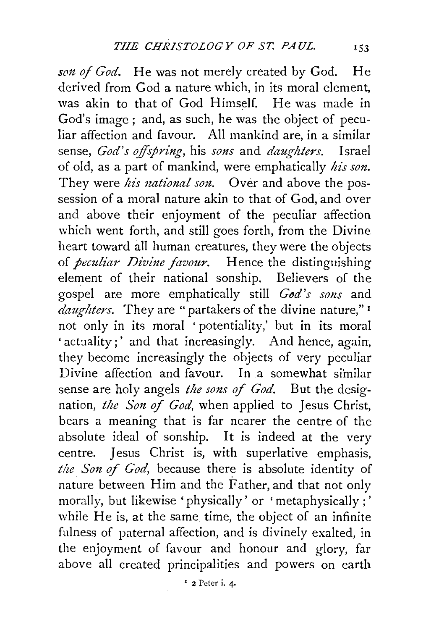son of God. He was not merely created by God. He derived from God a nature which, in its moral element, was akin to that of God Himself. He was made in God's image; and, as such, he was the object of peculiar affection and favour. All mankind are, in a similar sense, *God's offspring,* his *sons* and *daughters.* Israel of old, as a part of mankind, were emphatically *his son.*  They were *his national son*. Over and above the possession of a moral nature akin to that of God, and over and above their enjoyment of the peculiar affection which went forth, and still goes forth, from the Divine heart toward all human creatures, they were the objects of *peculiar Divine favour.* Hence the distinguishing element of their national sonship. Believers of the gospel are more emphatically still *God's sons* and *daughters.* They are "partakers of the divine nature," 1 not only in its moral 'potentiality,' but in its moral 'actuality;' and that increasingly. And hence, again, they become increasingly the objects of very peculiar Divine affection and favour. In a somewhat similar sense are holy angels *the sons of God*. But the designation, *the Son of God,* when applied to Jesus Christ, bears a meaning that is far nearer the centre of the absolute ideal of sonship. It is indeed at the very centre. Jesus Christ is, with superlative emphasis, the Son of God, because there is absolute identity of nature between Him and the Father, and that not only morally, but likewise 'physically' or 'metaphysically;' while He is, at the same time, the object of an infinite fulness of paternal affection, and is divinely exalted, in the enjoyment of favour and honour and glory, far above all created principalities and powers on earth

' 2 Peter i. 4.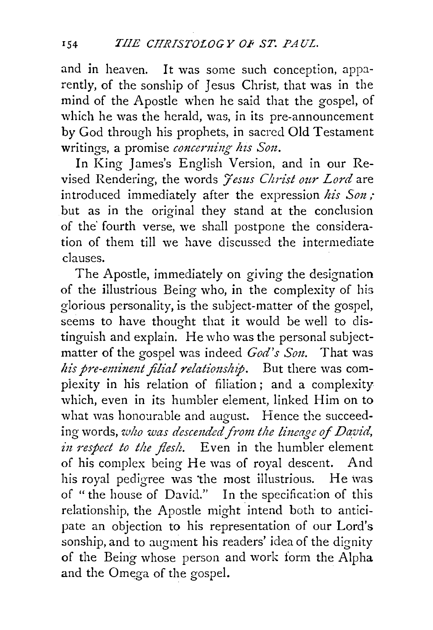and in heaven. It was some such conception, apparently, of the sonship of Jesus Christ, that was in the mind of the Apostle when he said that the gospel, of which he was the herald, was, in its pre-announcement by God through his prophets, in sacred Old Testament writings, a promise *concerning his Son.* 

In King James's English Version, and in our Revised Rendering, the words */esus Christ our Lord* are introduced immediately after the expression *his Son;*  but as in the original they stand at the conclusion of the' fourth verse, we shall postpone the consideration of them till we have discussed the intermediate clauses.

The Apostle, immediately on giving the designation of the illustrious Being who, in the complexity of his glorious personality, is the subject-matter of the gospel, seems to have thought that it would be well to distinguish and explain. He who was the personal subjectmatter of the gospel was indeed *God's Son.* That was his pre-eminent filial relationship. But there was compiexity in his relation of filiation; and a complexity which, even in its humbler element, linked Him on to what was honourable and august. Hence the succeeding words, *who was descended from the lineage of David*, *in respect to the flesh.* Even in the humbler element of his complex being He was of royal descent. And his royal pedigree was the most illustrious. He was of "the house of David." In the specification of this relationship, the Apostle might intend both to anticipate an objection to his representation of our Lord's sonship, and to augment his readers' idea of the dignity of the Being whose person and work form the Alpha and the Omega of the gospel.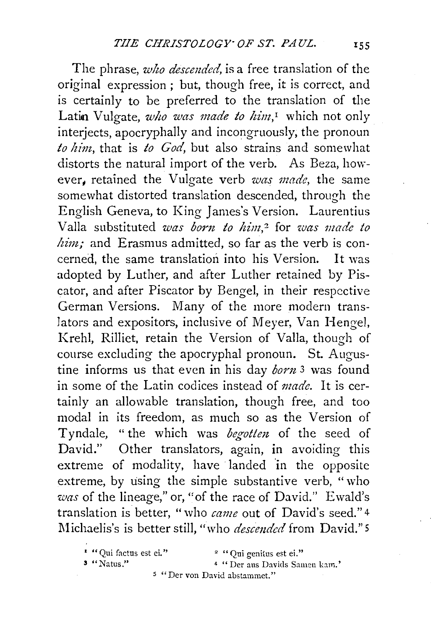The phrase, *who descended,* is a free translation of the original expression ; but, though free, it is correct, and is certainly to be preferred to the translation of the Latin Vulgate, *who was made to him*,<sup>I</sup> which not only interjects, apocryphally and incongruously, the pronoun *to him,* that is *to God,* but also strains and somewhat distorts the natural import of the verb. As Beza, however, retained the Vulgate verb *was made,* the same somewhat distorted translation descended, through the English Geneva, to King James's Version. Laurentius Valla substituted *was born to him*,<sup>2</sup> for *was made to him;* and Erasmus admitted, so far as the verb is concerned, the same translation into his Version. It was adopted by Luther, and after Luther retained by Piscator, and after Piscator by Bengel, in their respective German Versions. Many of the more modern translators and expositors, inclusive of Meyer, Van Hengel, Kreh!, Rilliet, retain the Version of Valla, though of course excluding the apocryphal pronoun. St. Augustine informs us that even in his day *born* 3 was found in some of the Latin codices instead of *made.* It is certainly an allowable translation, though free, and too modal in its freedom, as much so as the Version of Tyndale, "the which was *begotten* of the seed of David." Other translators, again, in avoiding this extreme of modality, have landed in the opposite extreme, by using the simple substantive verb, "who *was* of the lineage,'' or, "of the race of David." Ewald's translation is better, "who *came* out of David's seed." <sup>4</sup> Michaelis's is better still, "who *descended* from David." 5

<sup>4</sup> "Der aus Davids Samen kam."

s "Der von David abstammet."

<sup>&#</sup>x27; **"Qui fnctus est ei.** '' 2 " **Qui genitus est ei."**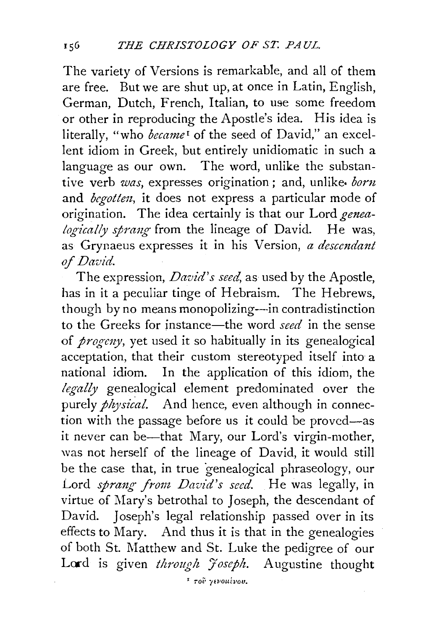The variety of Versions is remarkable, and all of them are free. But we are shut up, at once in Latin, English, German, Dutch, French, Italian, to use some freedom or other in reproducing the Apostle's idea. His idea is literally, "who *became*<sup>1</sup> of the seed of David," an excellent idiom in Greek, but entirely unidiomatic in such a language as our own. The word, unlike the substantive verb *was,* expresses origination ; and, unlike. *born*  and *begotten,* it does not express a particular mode of origination. The idea certainly is that our Lord *genealogically sprang* from the lineage of David. He was, as Grynaeus expresses it in his Version, *a descendant of David.* 

The expression, *David's seed,* as used by the Apostle, has in it a peculiar tinge of Hebraism. The Hebrews, though by no means monopolizing—in contradistinction to the Greeks for instance-the word *seed* in the sense of *prog-eny,* yet used it so habitually in its genealogical acceptation, that their custom stereotyped itself into a national idiom. In the application of this idiom, the legally genealogical element predominated over the purely  $\frac{1}{2}$  /  $\frac{1}{2}$  and hence, even although in connection with the passage before us it could be proved-as it never can be—that Mary, our Lord's virgin-mother, was not herself of the lineage of David, it would still be the case that, in true "genealogical phraseology, our Lord *sprang from David's seed.* He was legally, in virtue of Mary's betrothal to Joseph, the descendant of David. Joseph's legal relationship passed over in its effects to Mary. And thus it is that in the genealogies of both St. Matthew and St. Luke the pedigree of our Lord is given *through Joseph*. Augustine thought

**I Toi• /EVOUi.vou.**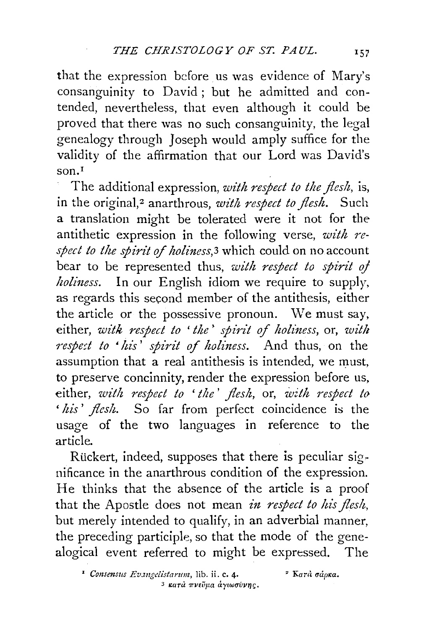that the expression before us was evidence of Mary's consanguinity to David ; but he admitted and contended, nevertheless, that even although it could be proved that there was no such consanguinity, the legal genealogy through Joseph would amply suffice for the validity of the affirmation that our Lord was David's son.I

The additional expression, *with respect to the flesh,* is, in the original,<sup>2</sup> anarthrous, *with respect to flesh*. Such a translation might be tolerated were it not for the antithetic expression in the following verse, *with re*spect to the spirit of holiness,<sup>3</sup> which could on no account bear to be represented thus, *with respect to spirit* oj *holiness.* In our English idiom we require to supply, as regards this second member of the antithesis, either the article or the possessive pronoun. We must say, *either, with respect to 'the' spirit of holiness, or, with respe::t to 'his* ' *spirit of holiness.* And thus, on the assumption that a real antithesis is intended, we must, to preserve concinnity, render the expression before us, either, *with respect to 'the* ' *flesh,* or, *with respect to*  ' *his* ' *flesh.* So far from perfect coincidence is the usage of the two languages in reference to the article.

Rückert, indeed, supposes that there is peculiar significance in the anarthrous condition of the expression. He thinks that the absence of the article is a proof that the Apostle does not mean *in respect to his flesh,*  but merely intended to qualify, in an adverbial manner, the preceding participle, so that the mode of the genealogical event referred to might be expressed. The

<sup>1</sup> Consensus Evangelistarum, lib. ii. c. 4. <sup>2</sup> Karà σάρκα. 3 **1'arU 7r'VEUpa** *ciyiwuVV1]{;.*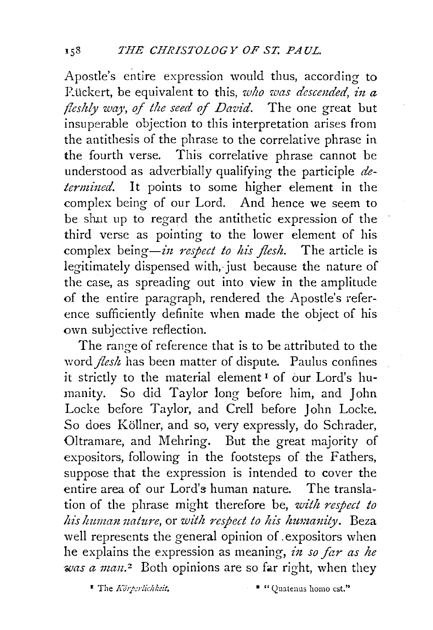Apostle's entire expression would thus, according to P.i.ickert, be equivalent to this, *who was descended, in a fleshly way, of the seed of David.* The one great but insuperable objection to this interpretation arises from the antithesis of the phrase to the correlative phrase in the fourth verse. This correlative phrase cannot be understood as adverbially qualifying the participle *determined.* It points to some higher element in the complex being of our Lord. And hence we seem to be shut up to regard the antithetic expression of the third verse as pointing to the lower element of his complex being-in *respect to* his *flesh.* The article is legitimately dispensed with, just because the nature of the case, as spreading out into view in the amplitude of the entire paragraph, rendered the Apostle's reference sufficiently definite when made the object of his own subjective reflection.

The range of reference that is to be attributed to the word *flesh* has been matter of dispute. Paulus confines *it strictly to the material element<sup>1</sup>* of our Lord's humanity. So did Taylor long before him, and John Locke before Taylor, and Crell before John Locke. So does Köllner, and so, very expressly, do Schrader, Oltramare, and Mehring. But the great majority of expositors, following in the footsteps of the Fathers, suppose that the expression is intended to cover the entire area of our Lord's human nature. The translation of the phrase might therefore be, *with respect to his human nature, or with respect to his humanity.* Beza well represents the general opinion of. expositors when he explains the expression as meaning, *in so far as he was a man.*<sup>2</sup> Both opinions are so far right, when they

1 The *.Kihi:r!ichkeit.* • "Qtntenus homo est."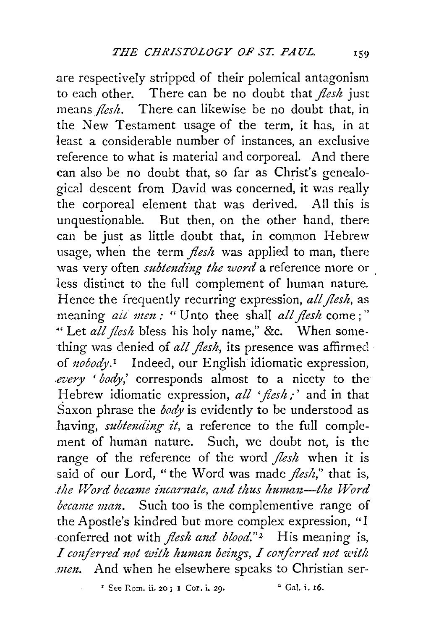are respectively stripped of their polemical antagonism to each other. There can be no doubt that *flesh* just means *flesh*. There can likewise be no doubt that, in the New Testament usage of the term, it has, in at 1east a considerable number of instances, an exclusive reference to what is material and corporeal. And there can also be no doubt that, so far as Christ's genealogical descent from David was concerned, it was really the corporeal element that was derived. All this is unquestionable. But then, on the other hand, there can be just as little doubt that, in common Hebrew usage, when the term *flesh* was applied to man, there was very often *subtending the word* a reference more or . less distinct to the full complement of human nature. Hence the frequently recurring expression, *all flesh,* as meaning *ait men* : " Unto thee shall *all flesh* come ;" "Let *all flesh* bless his holy name," &c. When something was denied of *all flesh*, its presence was affirmed ·of *nobody.I* Indeed, our English idiomatic expression, *.every* ' *body,'* corresponds almost to a nicety to the Hebrew idiomatic expression, *all 'flesh;'* and in that Saxon phrase the *body* is evidently to be understood as having, *subtending it,* a reference to the full complement of human nature. Such, we doubt not, is the range of the reference of the word *flesk* when it is said of our Lord, "the Word was made *flesh,"* that is, *the Word became incarnate, and thus human-the Word became man.* Such too is the complementive range of the Apostle's kindred but more complex expression, "I conferred not with *flesh and blood.*"<sup>2</sup> His meaning is, I conferred not with human beings, I conferred not with *.men.* And when he elsewhere speaks to Christian ser-

 $E^2$  See Rom. ii. 20; I Cor. i. 29. •  $E^2$  Gal. i. 16.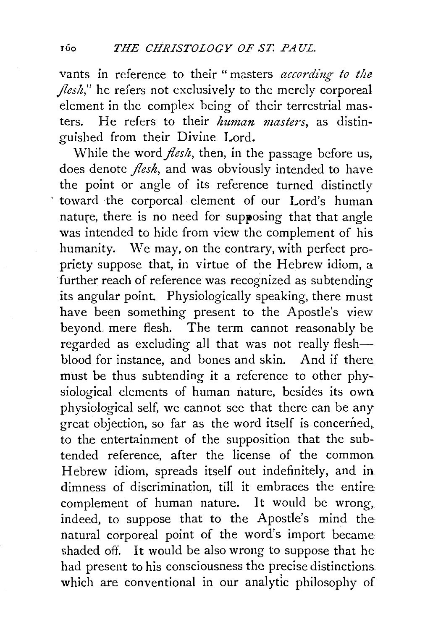vants in reference to their " masters *according to the flesh*," he refers not exclusively to the merely corporeal element in the complex being of their terrestrial masters. He refers to their *human masters,* as distinguished from their Divine Lord.

While the word *flesh*, then, in the passage before us, does denote *flesh,* and was obviously intended to have the point or angle of its reference turned distinctly toward the corporeal element of our Lord's human nature, there is no need for supposing that that angle was intended to hide from view the complement of his humanity. We may, on the contrary, with perfect propriety suppose that, in virtue of the Hebrew idiom, a further reach of reference was recognized as subtending its angular point. Physiologically speaking, there must have been something present to the Apostle's view beyond, mere flesh. The term cannot reasonably be regarded as excluding all that was not really fleshblood for instance, and bones and skin. And if there must be thus subtending it a reference to other physiological elements of human nature, besides its own physiological self, we cannot see that there can be any great objection, so far as the word itself is concerned, to the entertainment of the supposition that the subtended reference, after the license of the common Hebrew idiom, spreads itself out indefinitely, and in dimness of discrimination, till it embraces the entire· complement of human nature. It would be wrong, indeed, to suppose that to the Apostle's mind the natural corporeal point of the word's import became shaded off. It would be also wrong to suppose that he had present to his consciousness the precise distinctions which are conventional in our analytic philosophy of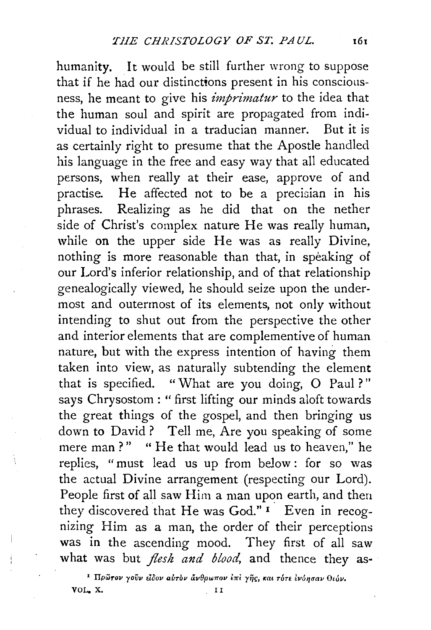humanity. It would be still further wrong to suppose that if he had our distinctions present in his consciousness, he meant to give his *imprimatur to* the idea that the human soul and spirit are propagated from individual to individual in a traducian manner. But it is as certainly right to presume that the Apostle handled his language in the free and easy way that all educated persons, when really at their ease, approve of and practise. He affected not to be a precisian in his phrases. Realizing as he did that on the nether side of Christ's complex nature He was really human, while on the upper side He was as really Divine, nothing is more reasonable than that, in speaking of our Lord's inferior relationship, and of that relationship genealogically viewed, he should seize upon the undermost and outermost of its elements, not only without intending to shut out from the perspective the other and interior elements that are complementive of human nature, but with the express intention of having them taken into view, as naturally subtending the element that is specified. "What are you doing, O Paul?" says Chrysostom : " first lifting our minds aloft towards the great things of the gospel, and then bringing us down to David? Tell me, Are you speaking of some mere man ? " " He that would lead us *to* heaven," he replies, "must lead us up from below : for so was the actual Divine arrangement (respecting our Lord). People first of all saw Him a man upon earth, and then they discovered that He was God."<sup>1</sup> Even in recognizing Him as a man, the order of their perceptions was in the ascending mood. They first of all saw what was but *flesh and blood*, and thence they as-

**I** Πρῶτον γοῦν εἶδον αὐτὸν ἄνθρωπον ἐπὶ γῆς, και τότε ἐνόησαν θεόν.<br>I I